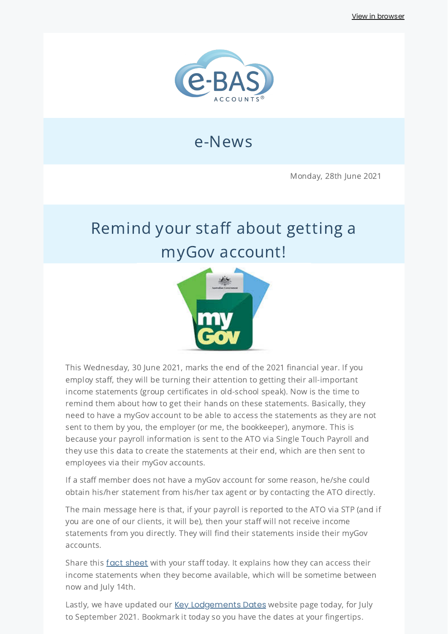

## e-News

Monday, 28th June 2021

# Remind your staff about getting a myGov account!



This Wednesday, 30 June 2021, marks the end of the 2021 financial year. If you employ staff, they will be turning their attention to getting their all-important income statements (group certificates in old-school speak). Now is the time to remind them about how to get their hands on these statements. Basically, they need to have a myGov account to be able to access the statements as they are not sent to them by you, the employer (or me, the bookkeeper), anymore. This is because your payroll information is sent to the ATO via Single Touch Payroll and they use this data to create the statements at their end, which are then sent to employees via their myGov accounts.

If a staff member does not have a myGov account for some reason, he/she could obtain his/her statement from his/her tax agent or by contacting the ATO directly.

The main message here is that, if your payroll is reported to the ATO via STP (and if you are one of our clients, it will be), then your staff will not receive income statements from you directly. They will find their statements inside their myGov accounts.

Share this fact [sheet](https://www.ato.gov.au/uploadedFiles/Content/MEI/downloads/n75191_employee_factsheet.pdf) with your staff today. It explains how they can access their income statements when they become available, which will be sometime between now and July 14th.

Lastly, we have updated our **Key [Lodgements](https://www.e-bas.com.au/key-dates/) Dates** website page today, for July to September 2021. Bookmark it today so you have the dates at your fingertips.